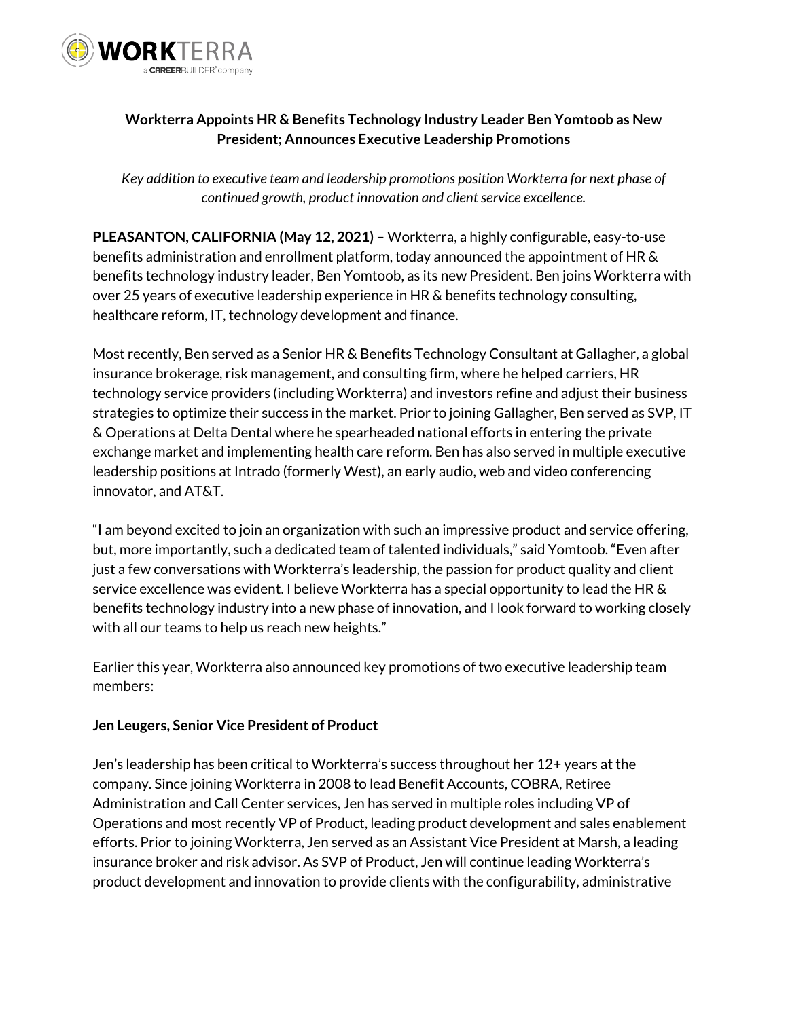

# **Workterra Appoints HR & Benefits Technology Industry Leader Ben Yomtoob as New President; Announces Executive Leadership Promotions**

*Key addition to executive team and leadership promotions position Workterra for next phase of continued growth, product innovation and client service excellence.*

**PLEASANTON, CALIFORNIA (May 12, 2021) –** Workterra, a highly configurable, easy-to-use benefits administration and enrollment platform, today announced the appointment of HR & benefits technology industry leader, Ben Yomtoob, as its new President. Ben joins Workterra with over 25 years of executive leadership experience in HR & benefits technology consulting, healthcare reform, IT, technology development and finance.

Most recently, Ben served as a Senior HR & Benefits Technology Consultant at Gallagher, a global insurance brokerage, risk management, and consulting firm, where he helped carriers, HR technology service providers (including Workterra) and investors refine and adjust their business strategies to optimize their success in the market. Prior to joining Gallagher, Ben served as SVP, IT & Operations at Delta Dental where he spearheaded national efforts in entering the private exchange market and implementing health care reform. Ben has also served in multiple executive leadership positions at Intrado (formerly West), an early audio, web and video conferencing innovator, and AT&T.

"I am beyond excited to join an organization with such an impressive product and service offering, but, more importantly, such a dedicated team of talented individuals," said Yomtoob. "Even after just a few conversations with Workterra's leadership, the passion for product quality and client service excellence was evident. I believe Workterra has a special opportunity to lead the HR & benefits technology industry into a new phase of innovation, and I look forward to working closely with all our teams to help us reach new heights."

Earlier this year, Workterra also announced key promotions of two executive leadership team members:

## **Jen Leugers, Senior Vice President of Product**

Jen's leadership has been critical to Workterra's success throughout her 12+ years at the company. Since joining Workterra in 2008 to lead Benefit Accounts, COBRA, Retiree Administration and Call Center services, Jen has served in multiple roles including VP of Operations and most recently VP of Product, leading product development and sales enablement efforts. Prior to joining Workterra, Jen served as an Assistant Vice President at Marsh, a leading insurance broker and risk advisor. As SVP of Product, Jen will continue leading Workterra's product development and innovation to provide clients with the configurability, administrative